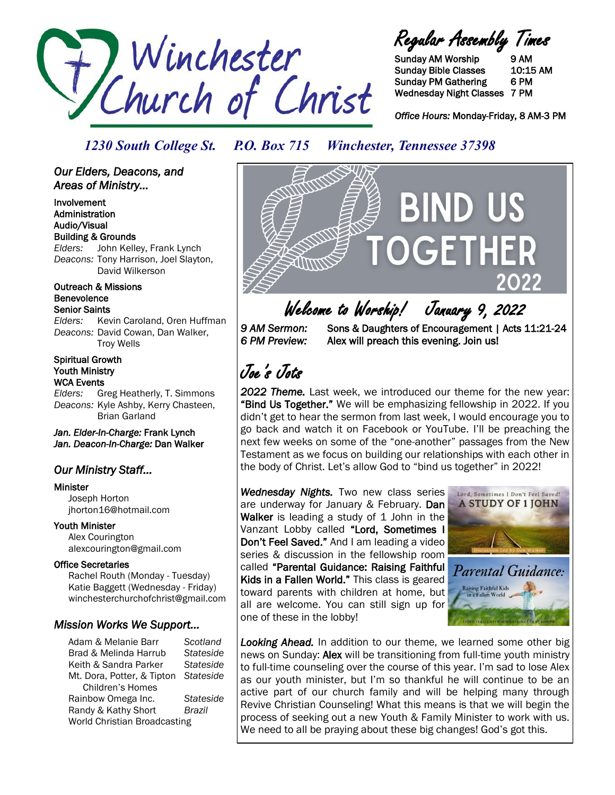

Regular Assembly Times

Sunday AM Worship 9 AM Sunday Bible Classes 10:15 AM Sunday PM Gathering 6 PM Wednesday Night Classes 7 PM

*Office Hours:* Monday-Friday, 8 AM-3 PM

### *1230 South College St. P.O. Box 715 Winchester, Tennessee 37398*

*Our Elders, Deacons, and Areas of Ministry...* 

Involvement Administration Audio/Visual Building & Grounds *Elders:* John Kelley, Frank Lynch *Deacons:* Tony Harrison, Joel Slayton, David Wilkerson

Outreach & Missions Benevolence Senior Saints

*Elders:* Kevin Caroland, Oren Huffman *Deacons:* David Cowan, Dan Walker, Troy Wells

#### Spiritual Growth Youth Ministry WCA Events

*Elders:* Greg Heatherly, T. Simmons *Deacons:* Kyle Ashby, Kerry Chasteen, Brian Garland

*Jan. Elder-In-Charge:* Frank Lynch *Jan. Deacon-In-Charge:* Dan Walker

### *Our Ministry Staff…*

Minister

 Joseph Horton jhorton16@hotmail.com

#### Youth Minister

 Alex Courington alexcourington@gmail.com

#### Office Secretaries

 Rachel Routh (Monday - Tuesday) Katie Baggett (Wednesday - Friday) winchesterchurchofchrist@gmail.com

#### *Mission Works We Support…*

Adam & Melanie Barr *Scotland* Brad & Melinda Harrub *Stateside* Keith & Sandra Parker *Stateside* Mt. Dora, Potter, & Tipton *Stateside* Children's Homes Rainbow Omega Inc. *Stateside* Randy & Kathy Short *Brazil* World Christian Broadcasting

**BIND US** 

Welcome to Worship! January 9, 2022<br>9 AM Sermon: Sons & Daughters of Encouragement I Acts

*9 AM Sermon:* Sons & Daughters of Encouragement | Acts 11:21-24 *6 PM Preview:* Alex will preach this evening. Join us!

Joe's Jots

*2022 Theme.* Last week, we introduced our theme for the new year: "Bind Us Together." We will be emphasizing fellowship in 2022. If you didn't get to hear the sermon from last week, I would encourage you to go back and watch it on Facebook or YouTube. I'll be preaching the next few weeks on some of the "one-another" passages from the New Testament as we focus on building our relationships with each other in the body of Christ. Let's allow God to "bind us together" in 2022!

*Wednesday Nights.* Two new class series are underway for January & February. Dan Walker is leading a study of 1 John in the Vanzant Lobby called "Lord, Sometimes I Don't Feel Saved." And I am leading a video series & discussion in the fellowship room called "Parental Guidance: Raising Faithful Kids in a Fallen World." This class is geared toward parents with children at home, but all are welcome. You can still sign up for one of these in the lobby!



*Looking Ahead.* In addition to our theme, we learned some other big news on Sunday: Alex will be transitioning from full-time youth ministry to full-time counseling over the course of this year. I'm sad to lose Alex as our youth minister, but I'm so thankful he will continue to be an active part of our church family and will be helping many through Revive Christian Counseling! What this means is that we will begin the process of seeking out a new Youth & Family Minister to work with us. We need to all be praying about these big changes! God's got this.